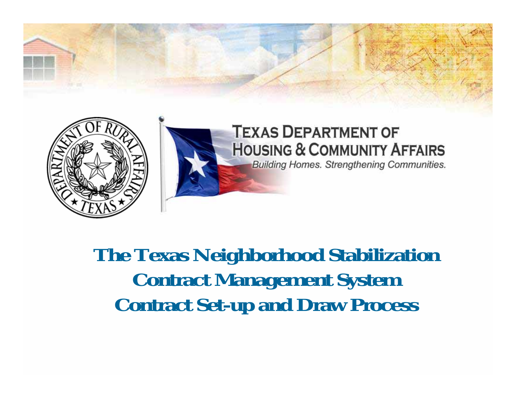

**The Texas Neighborhood Stabilization Contract Management System Contract Set-up and Draw Process**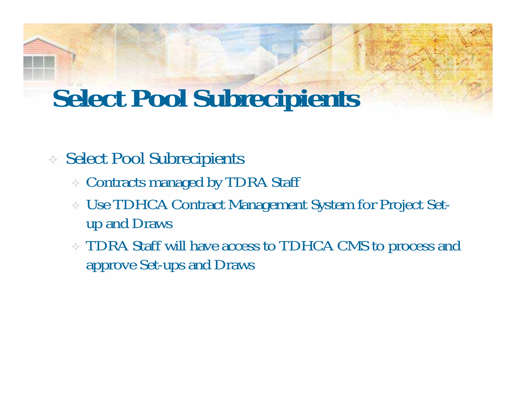### **Select Pool Subrecipients**

#### Select Pool Subrecipients

- Contracts managed by TDRA Staff
- Use TDHCA Contract Management System for Project Setup and Draws
- TDRA Staff will have access to TDHCA CMS to process and approve Set-ups and Draws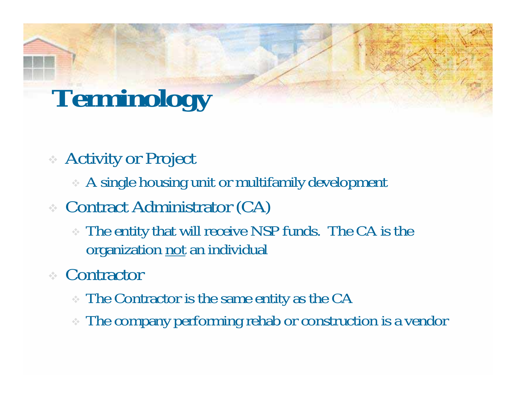# **Terminology**

- Activity or Project
	- A single housing unit or multifamily development
- Contract Administrator (CA)
	- The entity that will receive NSP funds. The CA is the organization not an individual
- Contractor
	- The Contractor is the same entity as the CA
	- The company performing rehab or construction is a vendor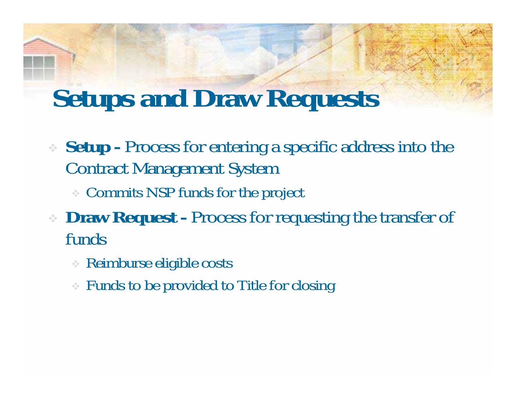### **Setups and Draw Requests**

- **Setup -** Process for entering a specific address into the Contract Management System
	- Commits NSP funds for the project
- **Draw Request** Process for requesting the transfer of funds
	- Reimburse eligible costs
	- Funds to be provided to Title for closing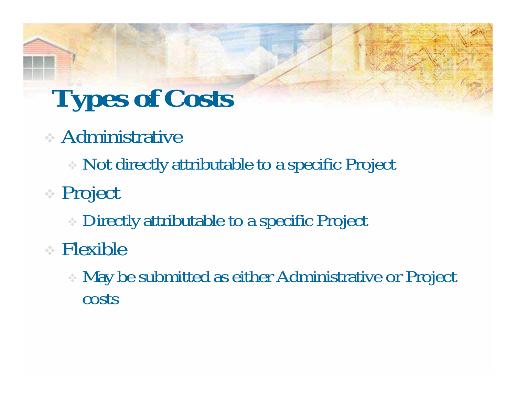# **Types of Costs**

### Administrative

- Not directly attributable to a specific Project
- Project
	- Directly attributable to a specific Project
- Flexible
	- May be submitted as either Administrative or Project costs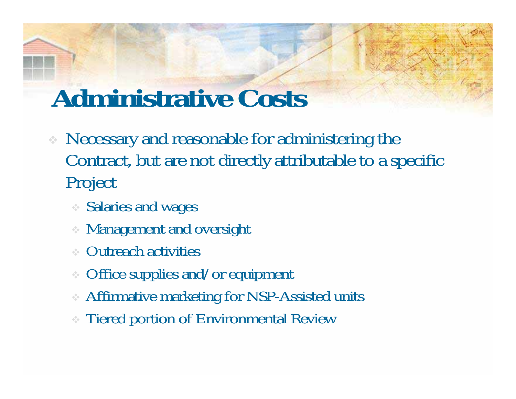### **Administrative Costs**

- Necessary and reasonable for administering the Contract, but are not directly attributable to a specific Project
	- Salaries and wages
	- Management and oversight
	- Outreach activities
	- Office supplies and/or equipment
	- Affirmative marketing for NSP-Assisted units
	- Tiered portion of Environmental Review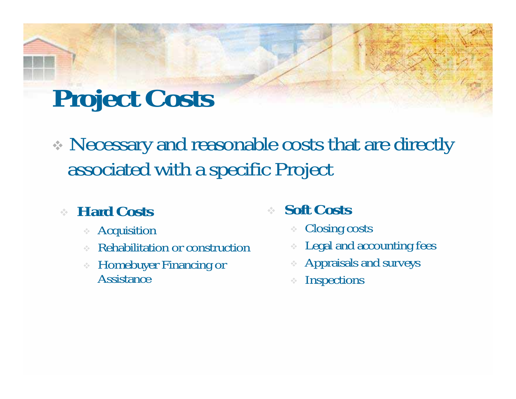## **Project Costs**

 Necessary and reasonable costs that are directly associated with a specific Project

#### **Hard Costs**

- Acquisition
- Rehabilitation or construction
- $\sigma_{\rm eff}^{\rm 2}$  . Homebuyer Financing or Assistance

#### ❖ **Soft Costs**

- Closing costs
- ÷ Legal and accounting fees
- Appraisals and surveys
- **Inspections**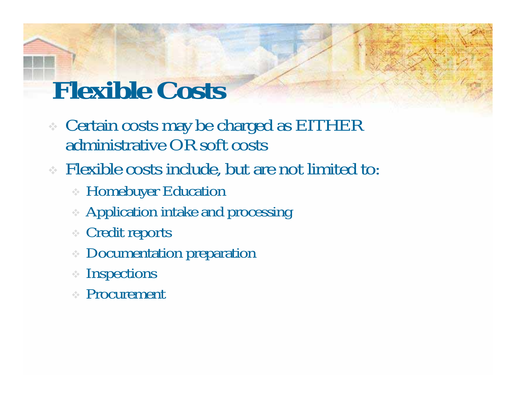# **Flexible Costs**

- Certain costs may be charged as EITHER administrative OR soft costs
- Flexible costs include, but are not limited to:
	- Homebuyer Education
	- Application intake and processing
	- Credit reports
	- Documentation preparation
	- Inspections
	- Procurement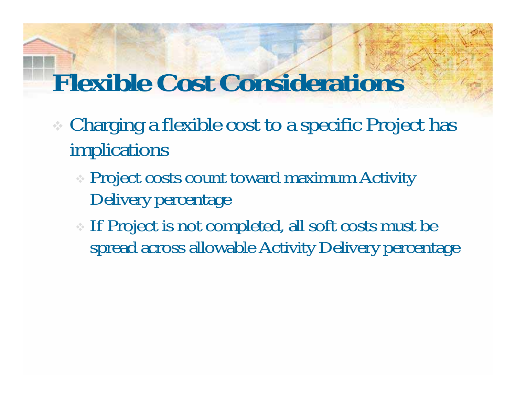## **Flexible Cost Considerations**

- Charging a flexible cost to a specific Project has implications
	- Project costs count toward maximum Activity Delivery percentage
	- If Project is not completed, all soft costs must be spread across allowable Activity Delivery percentage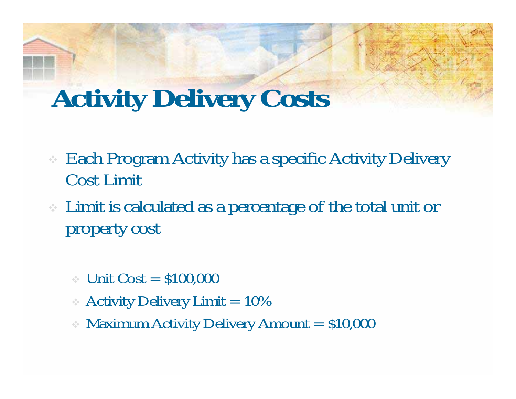### **Activity Delivery Costs**

- Each Program Activity has a specific Activity Delivery Cost Limit
- Limit is calculated as a percentage of the total unit or property cost
	- $\times$  Unit Cost  $=$  \$100,000
	- Activity Delivery Limit  $= 10\%$
	- Maximum Activity Delivery Amount = \$10,000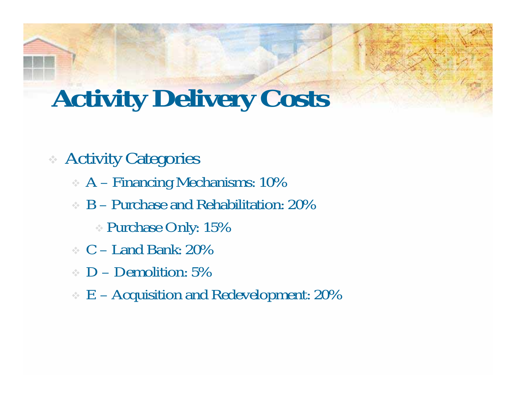### **Activity Delivery Costs**

#### Activity Categories

- A Financing Mechanisms: 10%
- B Purchase and Rehabilitation: 20%
	- Purchase Only: 15%
- $\cdot$  C Land Bank: 20%
- $\cdot$  D Demolition: 5%
- E Acquisition and Redevelopment: 20%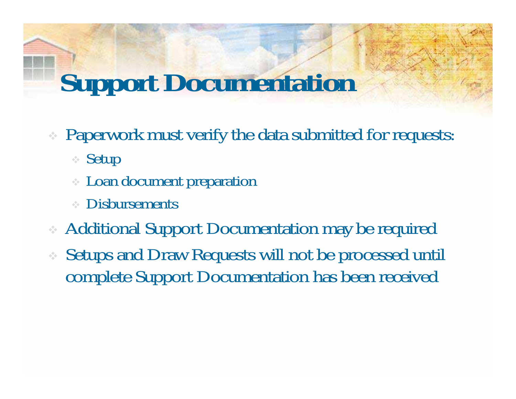# **Support Documentation**

- Paperwork must verify the data submitted for requests:
	- Setup
	- Loan document preparation
	- Disbursements
- Additional Support Documentation may be required
- Setups and Draw Requests will not be processed until complete Support Documentation has been received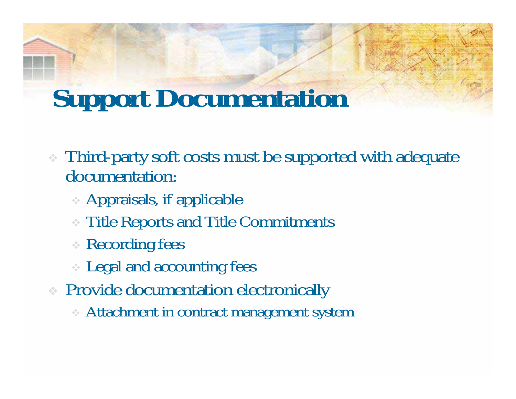### **Support Documentation**

- Third-party soft costs must be supported with adequate documentation:
	- Appraisals, if applicable
	- Title Reports and Title Commitments
	- Recording fees
	- Legal and accounting fees
- Provide documentation electronically
	- Attachment in contract management system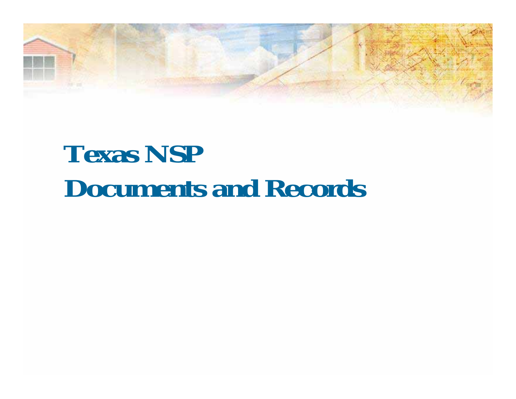## **Texas NSP Documents and Records**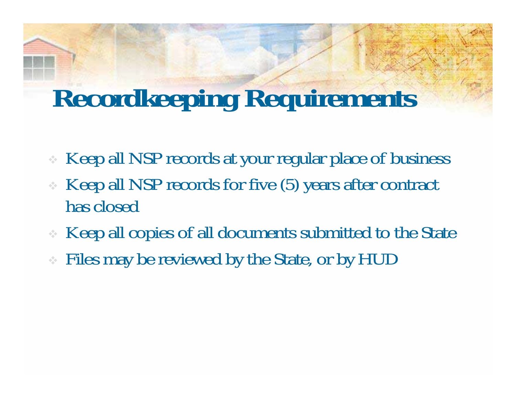### **Recordkeeping Requirements**

- Keep all NSP records at your regular place of business
- Keep all NSP records for five (5) years after contract has closed
- Keep all copies of all documents submitted to the State
- Files may be reviewed by the State, or by HUD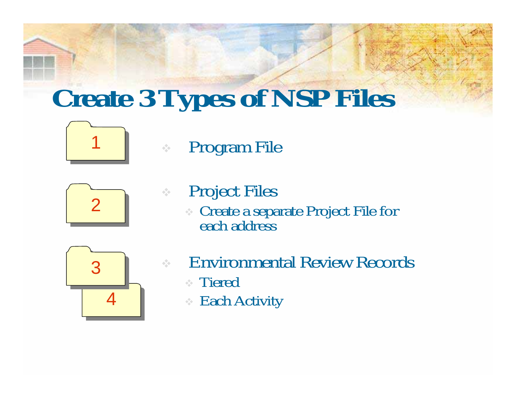# **Create 3 Types of NSP Files**



### Program File

 $\frac{1}{2}$ 

❖



 Project Files Create a separate Project File for each address



- Environmental Review Records Tiered
	- Each Activity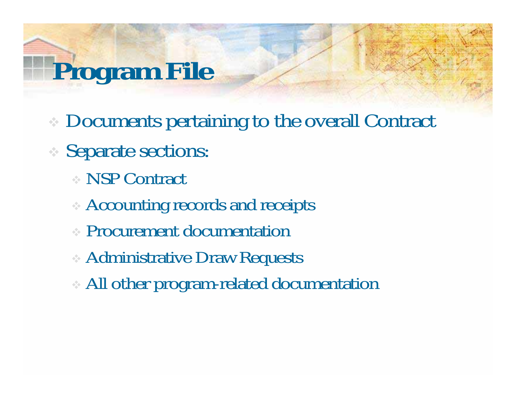# **Program File**

- Documents pertaining to the overall Contract
- Separate sections:
	- NSP Contract
	- Accounting records and receipts
	- Procurement documentation
	- Administrative Draw Requests
	- All other program-related documentation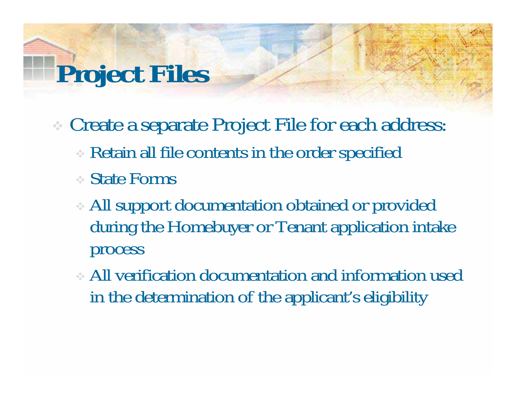# **Project Files**

- Create a separate Project File for each address:
	- Retain all file contents in the order specified
	- State Forms
	- All support documentation obtained or provided during the Homebuyer or Tenant application intake process
	- All verification documentation and information used in the determination of the applicant's eligibility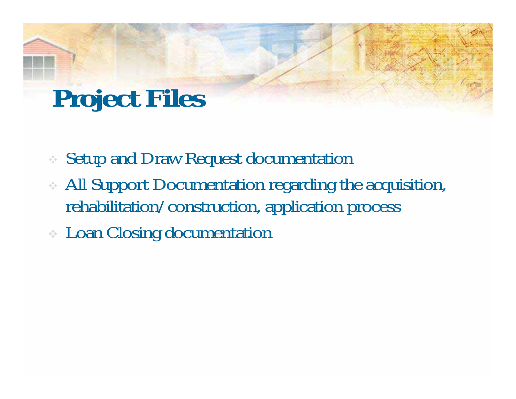## **Project Files**

- Setup and Draw Request documentation
- All Support Documentation regarding the acquisition, rehabilitation/construction, application process
- Loan Closing documentation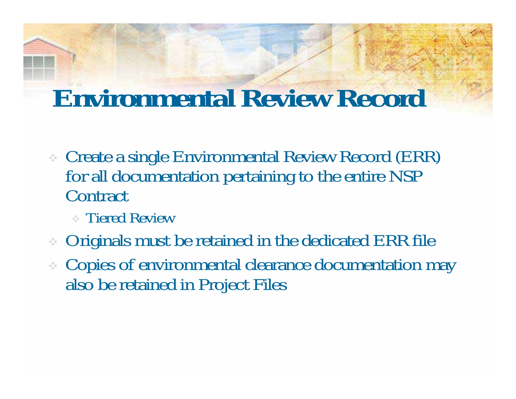### **Environmental Review Record**

- Create a single Environmental Review Record (ERR) for all documentation pertaining to the entire NSP **Contract** 
	- Tiered Review
- Originals must be retained in the dedicated ERR file
- Copies of environmental clearance documentation may also be retained in Project Files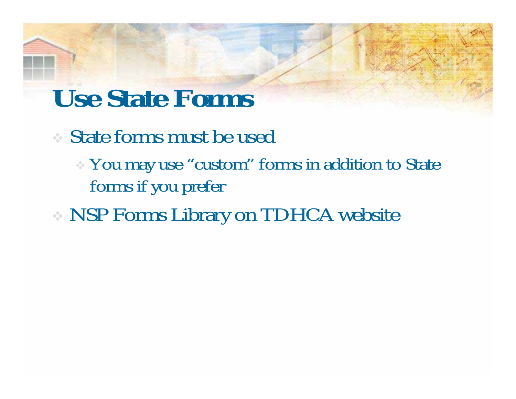### **Use State Forms**

- State forms must be used
	- You may use "custom" forms in addition to State forms if you prefer
- NSP Forms Library on TDHCA website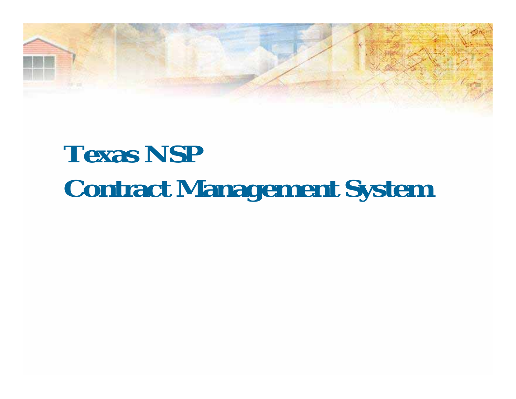# **Texas NSP Contract Management System**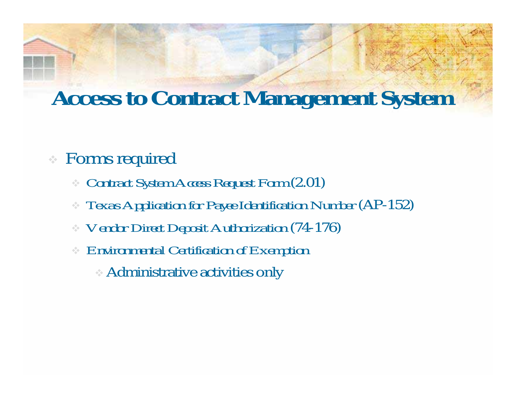### **Access to Contract Management System**

#### Forms required

- $\frac{1}{2} \frac{1}{2}$ *Contract System Access Request Form* (2.01)
- *Texas Application for Payee Identification Number* (AP-152)
- *Vendor Direct Deposit Authorization* (74-176)
- *Environmental Certification of Exemption* 
	- Administrative activities only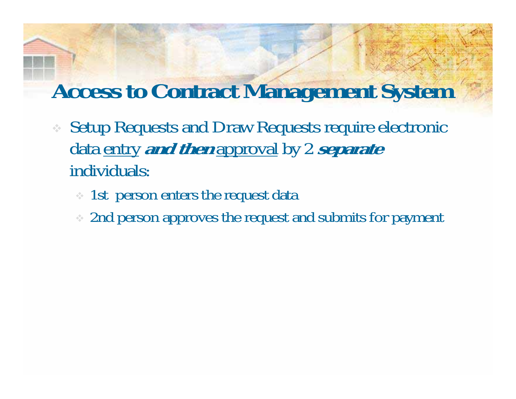### **Access to Contract Management System**

- Setup Requests and Draw Requests require electronic data entry **and then** approval by 2 **separate** individuals:
	- 1st person enters the request data
	- 2nd person approves the request and submits for payment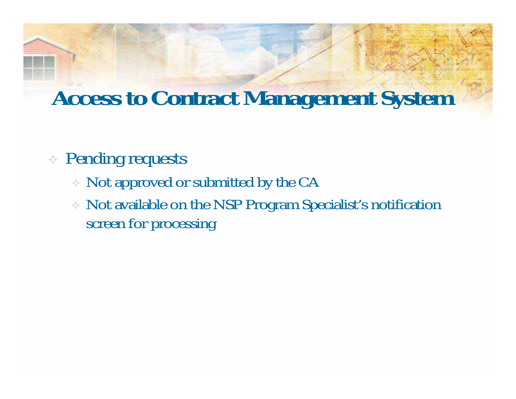### **Access to Contract Management System**

#### Pending requests

- Not approved or submitted by the CA
- Not available on the NSP Program Specialist's notification screen for processing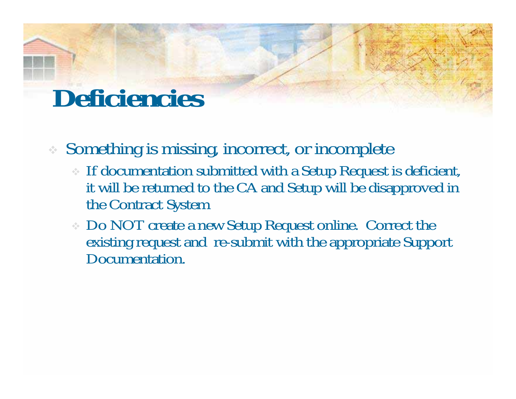### **Deficiencies**

Something is missing, incorrect, or incomplete

- If documentation submitted with a Setup Request is deficient, it will be returned to the CA and Setup will be disapproved in the Contract System
- Do NOT create a new Setup Request online. Correct the existing request and re-submit with the appropriate Support Documentation.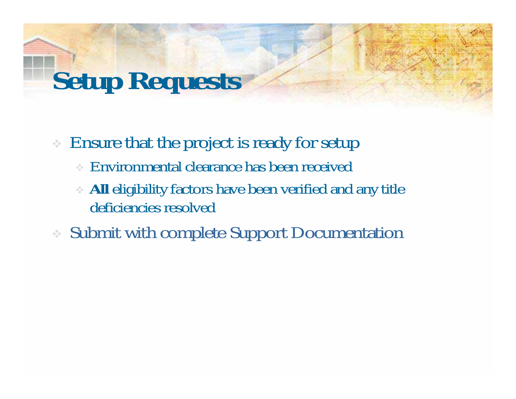# **Setup Requests**

Ensure that the project is ready for setup

- Environmental clearance has been received
- **All** eligibility factors have been verified and any title deficiencies resolved
- Submit with complete Support Documentation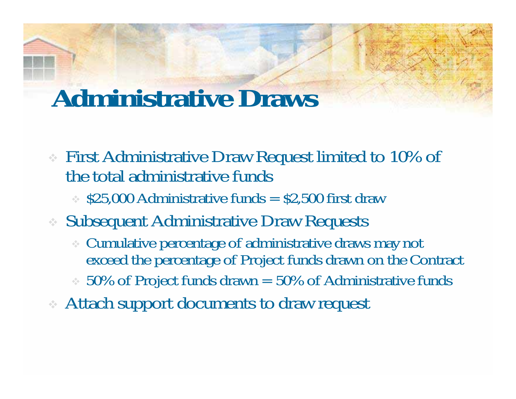### **Administrative Draws**

- First Administrative Draw Request limited to 10% of the total administrative funds
	- $\approx$  \$25,000 Administrative funds  $=$  \$2,500 first draw
- Subsequent Administrative Draw Requests
	- Cumulative percentage of administrative draws may not exceed the percentage of Project funds drawn on the Contract
	- $\approx$  50% of Project funds drawn  $=$  50% of Administrative funds
- Attach support documents to draw request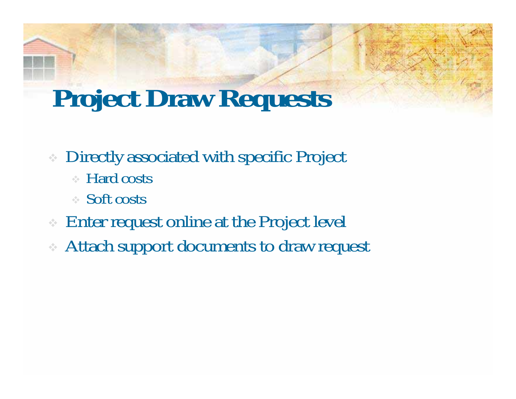### **Project Draw Requests**

- Directly associated with specific Project
	- Hard costs
	- Soft costs
- Enter request online at the Project level
- Attach support documents to draw request